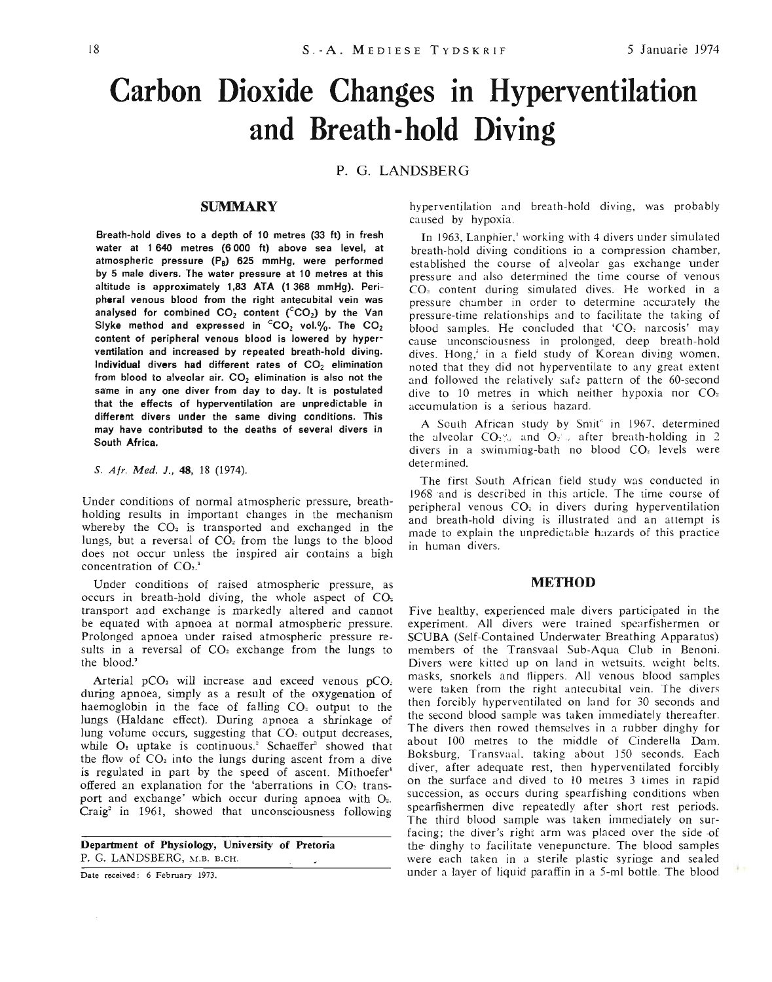# **Carbon Dioxide Changes in Hyperventilation and Breath-hold Diving**

#### P. G. LANDSBERG

#### **SUMMARY**

Breath-hold dives to a depth of 10 metres (33 ft) in fresh water at 1 640 metres (6 000 ft) above sea level, at atmospheric pressure (Ps) 625 mmHg, were performed by 5 male divers. The water pressure at 10 metres at this altitude is approximately 1,83 ATA (1 368 mmHg). Peripheral venous blood from the right antecubital vein was analysed for combined  $CO_2$  content ( $CO_2$ ) by the Van Slyke method and expressed in  ${}^cCO_2$  vol.%. The  $CO_2$ content of peripheral venous blood is lowered by hyperventilation and increased by repeated breath-hold diving. Individual divers had different rates of  $CO<sub>2</sub>$  elimination from blood to alveolar air.  $CO<sub>2</sub>$  elimination is also not the same in anyone diver from day to day. It is postulated that the effects of hyperventilation are unpredictable in different divers under the same diving conditions. This may have contributed to the deaths of several divers in South Africa.

*S. Afr. Med. l.,* 48, 18 (1974).

Under conditions of normal atmospheric pressure, breathholding results in important changes in the mechanism whereby the  $CO<sub>2</sub>$  is transported and exchanged in the lungs, but a reversal of  $CO<sub>2</sub>$  from the lungs to the blood does not occur unless the inspired air contains a high concentration of  $CO<sub>2</sub>$ <sup>1</sup>

Under conditions of raised atmospheric pressure, as occurs in breath-hold diving, the whole aspect of  $CO<sub>2</sub>$ transport and exchange is markedly altered and cannot be equated with apnoea at normal atmospheric pressure. Prolonged apnoea under raised atmospheric pressure results in a reversal of  $CO<sub>2</sub>$  exchange from the lungs to the blood.'

Arterial pCO, will increase and exceed venous pCO, during apnoea, simply as a result of the oxygenation of haemoglobin in the face of falling  $CO<sub>2</sub>$  output to the lungs (Haldane effect). During apnoea a shrinkage of lung volume occurs, suggesting that  $CO<sub>z</sub>$  output decreases, while  $O_2$  uptake is continuous.<sup>2</sup> Schaeffer<sup>3</sup> showed that the flow of  $CO<sub>2</sub>$  into the lungs during ascent from a dive is regulated in part by the speed of ascent. Mithoefer' offered an explanation for the 'aberrations in CO<sub>2</sub> transport and exchange' which occur during apnoea with  $O_2$ . Craig<sup>2</sup> in 1961, showed that unconsciousness following

Department of Physiology, University of Pretoria P. G. LANDSBERG, M.B. B.CH.

Date received: 6 February 1973.

hyperventilation and breath-hold diving, was probably caused by hypoxia.

In 1963, Lanphier,' working with 4 divers under simulated breath-hold diving conditions in a compression chamber, established the course of alveolar gas exchange under pressure and also determined the time course of venous CO, content during simulated dives. He worked in a pressure chamber in order to determine accurately the pressure-time relationships and to facilitate the taking of blood samples. He concluded that 'CO, narcosis' may cause unconsciousness in prolonged, deep breath-hold dives. Hong,' in a field study of Korean diving women, noted that they did not hyperventilate to any great extent and followed the relatively safe pattern of the 60-second dive to 10 metres in which neither hypoxia nor CO<sub>2</sub> accumulation is a serious hazard.

A South African study by Smir' in 1967, determined the alveolar  $CO<sub>2</sub>$ % and  $O<sub>2</sub>$  after breath-holding in 2 divers in a swimming-bath no blood CO, levels were determined.

The first South African field study was conducted in 1968 and is described in this article. The time course of peripheral venous CO, in divers during hyperventilation and breath-hold diving is illustrated and an attempt is made to explain the unpredictable hazards of this practice in human divers.

#### **METHOD**

Five healthy, experienced male divers participated in the experiment. All divers were trained spearfishermen or SCUBA (Self-Contained Underwater Breathing Apparatus) members of the Transvaal Sub-Aqua Club in Benoni. Divers were kitted up on land in wetsuits, weight belts, masks, snorkels and flippers. All venous blood samples were taken from the right antecubital vein. The divers then forcibly hyperventilated on land for 30 seconds and the second blood sample was taken immediately thereafter. The divers then rowed themselves in a rubber dinghy for about 100 metres to the middle of Cinderella Dam. Boksburg, Transvaal, taking about ISO seconds. Each diver, after adequate rest, then hyperventilated forcibly on the surface and dived to 10 metres 3 limes in rapid succession, as occurs during spearfishing conditions when spearfishermen dive repeatedly after short rest periods. The third blood sample was taken immediately on surfacing; the diver's right arm was placed over the side of the dinghy to facilitate venepuncture. The blood samples were each taken in a sterile plastic syringe and sealed under a layer of liquid paraffin in a 5-ml bottle. The blood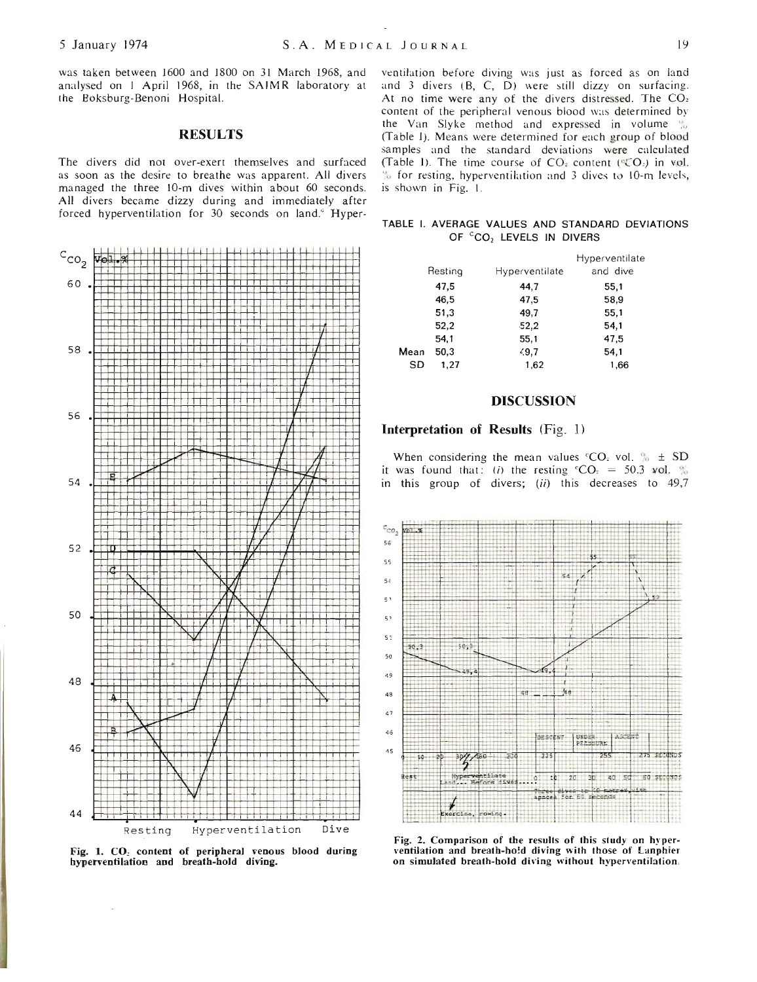was taken between 1600 and 1800 on 31 March 1968, and analysed on 1 April 1968, in the SAIMR laboratory at the Boksburg-Benoni Hospital.

## **RESULTS**

The divers did not over-exert themselves and surfaced as soon as the desire to breathe was apparent. All divers managed the three 10-m dives within about 60 seconds. All divers became dizzy during and immediately after forced hyperventilation for 30 seconds on land.<sup>6</sup> Hyper-



Fig. 1. CO<sub>2</sub> content of peripheral venous blood during hyperventilation and breath-hold diving.

ventilation before diving was just as forced as on land and 3 divers (B, C, D) were still dizzy on surfacing. At no time were any of the divers distressed. The CO: content of the peripheral venous blood was determined by the Van Slyke method and expressed in volume % (Table I). Means were determined for each group of blood samples and the standard deviations were calculated (Table 1). The time course of CO<sub>2</sub> content (°CO<sub>2</sub>) in vol. % for resting, hyperventilation and 3 dives to 10-m levels, is shown in Fig. 1.

|  |                                     |  | TABLE I. AVERAGE VALUES AND STANDARD DEVIATIONS |
|--|-------------------------------------|--|-------------------------------------------------|
|  | OF CO <sub>2</sub> LEVELS IN DIVERS |  |                                                 |

|      | Resting | Hyperventilate | Hyperventilate<br>and dive |
|------|---------|----------------|----------------------------|
|      | 47,5    | 44,7           | 55,1                       |
|      | 46.5    | 47,5           | 58,9                       |
|      | 51,3    | 49,7           | 55,1                       |
|      | 52,2    | $-52,2$        | 54,1                       |
|      | 54,1    | 55,1           | 47,5                       |
| Mean | 50,3    | 49.7           | 54,1                       |
| SD   | 1,27    | 1.62           | 1,66                       |
|      |         |                |                            |

### **DISCUSSION**

### Interpretation of Results (Fig. 1)

When considering the mean values  $°CO_2$  vol.  $\% \pm SD$ it was found that: (i) the resting  $°CO_2 = 50.3$  vol. % in this group of divers; (ii) this decreases to 49,7



Fig. 2. Comparison of the results of this study on hyperventilation and breath-hold diving with those of Lanphier on simulated breath-hold diving without hyperventilation.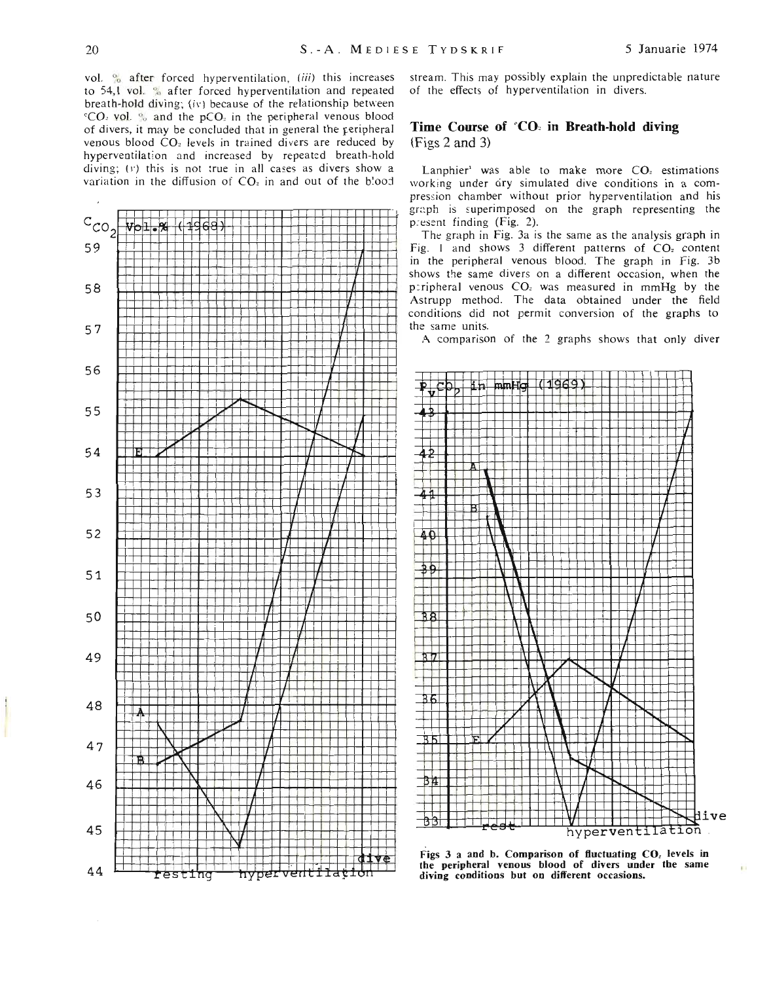vol. <sup>o</sup> after forced hyperventilation, (iii) this increases to 54,1 vol. % after forced hyperventilation and repeated breath-hold diving; (iv) because of the relationship between <sup>c</sup>CO. vol. % and the pCO<sub>2</sub> in the peripheral venous blood of divers, it may be concluded that in general the peripheral venous blood CO<sub>2</sub> levels in trained divers are reduced by hyperventilation and increased by repeated breath-hold diving; (v) this is not true in all cases as divers show a variation in the diffusion of CO<sub>2</sub> in and out of the blood



stream. This may possibly explain the unpredictable nature of the effects of hyperventilation in divers.

#### Time Course of 'CO: in Breath-hold diving  $(Figs 2 and 3)$

Lanphier' was able to make more CO<sub>2</sub> estimations working under ary simulated dive conditions in a compression chamber without prior hyperventilation and his graph is superimposed on the graph representing the present finding (Fig. 2).

The graph in Fig. 3a is the same as the analysis graph in Fig. 1 and shows 3 different patterns of CO<sub>z</sub> content in the peripheral venous blood. The graph in Fig. 3b shows the same divers on a different occasion, when the peripheral venous CO<sub>z</sub> was measured in mmHg by the Astrupp method. The data obtained under the field conditions did not permit conversion of the graphs to the same units.

A comparison of the 2 graphs shows that only diver



Figs 3 a and b. Comparison of fluctuating CO<sub>z</sub> levels in the peripheral venous blood of divers under the same diving conditions but on different occasions.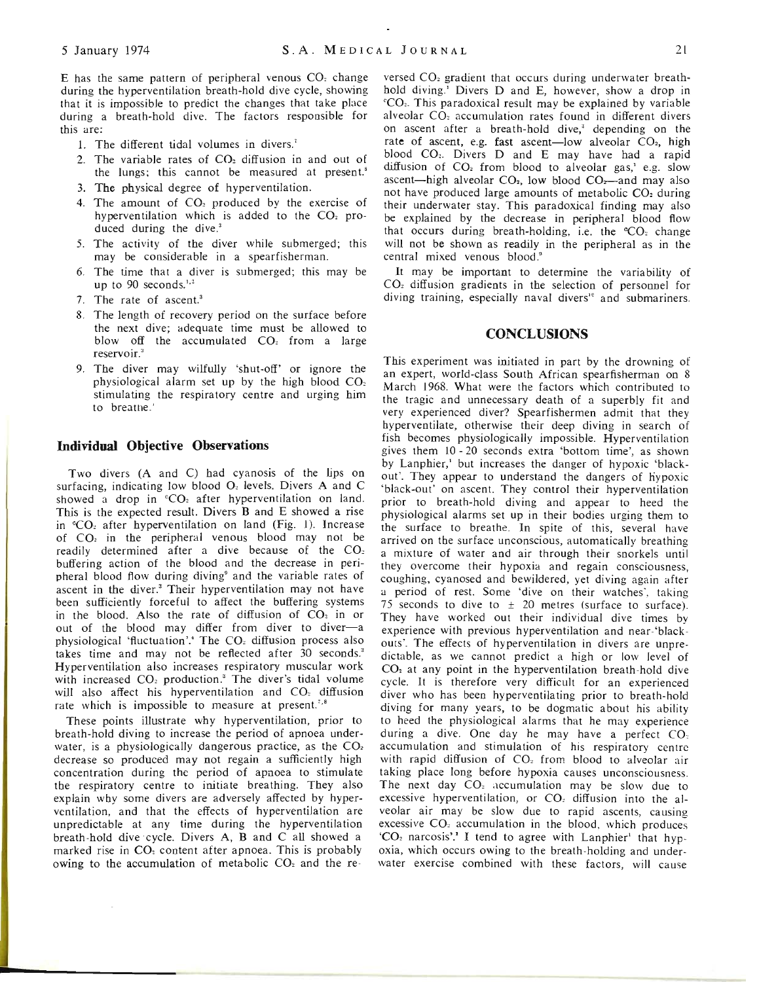E has the same pattern of peripheral venous CO, change during the hyperventilation breath-hold dive cycle, showing that it is impossible to predict the changes that take place during a breath-hold dive. The factors responsible for this are:

- 1. The different tidal volumes in divers.'
- 2. The variable rates of  $CO<sub>2</sub>$  diffusion in and out of the lungs; this cannot be measured at present.'
- 3. The physical degree of hyperventilation.
- 4. The amount of  $CO<sub>2</sub>$  produced by the exercise of hyperventilation which is added to the  $CO<sub>2</sub>$  produced during the dive.'
- 5. The activity of the diver while submerged; this may be considerable in a spearfisherman.
- 6. The time that a diver is submerged; this may be up to 90 seconds. $1,2$
- 7. The rate of ascent.'
- 8. The length of recovery period on the surface before the next dive; adequate time must be allowed to blow off the accumulated CO<sub>2</sub> from a large reservoir  $^3$
- 9. The diver may wilfully 'shut-off' or ignore the physiological alarm set up by the high blood CO, stimulating the respiratory centre and urging him to breathe.'

#### **Individual Objective Observations**

Two divers (A and C) had cyanosis of the lips on surfacing, indicating low blood 0, levels. Divers A and C showed a drop in  $°CO<sub>2</sub>$  after hyperventilation on land. This is the expected result. Divers Band E showed a rise in "CO<sub>2</sub> after hyperventilation on land (Fig. 1). Increase of CO, in the peripheral venous blood may not be readily determined after a dive because of the CO<sub>2</sub> buffering action of the blood and the decrease in peripheral blood flow during diving" and the variable rates of ascent in the diver.' Their hyperventilation may not have been sufficiently forceful to affect the buffering systems in the blood. Also the rate of diffusion of  $CO<sub>2</sub>$  in or out of the blood may differ from diver to diver-a physiological 'fluctuation'.<sup>4</sup> The CO<sub>2</sub> diffusion process also takes time and may not be reflected after 30 seconds.' Hyperventilation also increases respiratory muscular work with increased CO<sub>2</sub> production.<sup>3</sup> The diver's tidal volume will also affect his hyperventilation and CO<sub>2</sub> diffusion rate which is impossible to measure at present.<sup>7,8</sup>

These points illustrate why hyperventilation, prior to breath-hold diving to increase the period of apnoea underwater, is a physiologically dangerous practice, as the  $CO<sub>2</sub>$ decrease so produced may not regain a sufficiently high concentration during the period of apnoea to stimulate the respiratory centre to initiate breathing. They also explain why some divers are adversely affected by hyperventilation, and that the effects of hyperventilation are unpredictable at any time during the hyperventilation breath-hold dive cycle. Divers A, Band C all showed a marked rise in CO, content after apnoea. This is probably owing to the accumulation of metabolic  $CO<sub>2</sub>$  and the re-

versed CO<sub>2</sub> gradient that occurs during underwater breathhold diving.' Divers D and E, however, show a drop in "CO,. This paradoxical result may be explained by variable alveolar CO, accumulation rates found in different divers on ascent after a breath-hold dive,' depending on the rate of ascent, e.g. fast ascent-low alveolar  $CO<sub>2</sub>$ , high blood CO,. Divers D and E may have had a rapid diffusion of CO, from blood to alveolar gas,' e.g. slow ascent-high alveolar  $CO<sub>2</sub>$ , low blood  $CO<sub>2</sub>$ -and may also not have produced large amounts of metabolic CO, during their underwater stay. This paradoxical finding may also be explained by the decrease in peripheral blood flow that occurs during breath-holding, i.e. the  $°CO<sub>z</sub>$  change will not be shown as readily in the peripheral as in the central mixed venous blood."

It may be important to determine the variability of CO, diffusion gradients in the selection of personnel for diving training, especially naval divers" and submariners.

#### **CONCLUSIONS**

This experiment was initiated in part by the drowning of an expert, world-class South African spearfisherman on 8 March 1968. What were the factors which contributed to the tragic and unnecessary death of a superbly fit and very experienced diver? Spearfishermen admit that they hyperventilate, otherwise their deep diving in earch of fish becomes physiologically impossible. Hyperventilation gives them 10 - 20 seconds extra 'bottom time', as shown by Lanphier,' but increases the danger of hypoxic 'blackout'. They appear to understand the dangers of hypoxic 'black-out' on ascent. They control their hyperventilation prior to breath-hold diving and appear to heed the physiological alarms set up in their bodies urging them to the surface to breathe. **In** spite of this, several have arrived on the surface unconscious, automatically breathing a mixture of water and air through their snorkels until they overcome their hypoxia and regain consciousness, coughing, cyanosed and bewildered, yet diving again after a period of rest. Some 'dive on their watches', taking 75 seconds to dive to  $\pm$  20 metres (surface to surface). They have worked out their individual dive times by experience with previous hyperventilation and near-'blackouts'. The effects of hyperventilation in divers are unpredictable, as we cannot predict a high or low level of  $CO<sub>2</sub>$  at any point in the hyperventilation breath-hold dive cycle. It is therefore very difficult for an experienced diver who has been hyperventilating prior to breath-hold diving for many years, to be dogmatic about his ability to heed the physiological alarms that he may experience during a dive. One day he may have a perfect CO. accumulation and stimulation of his respiratory centre with rapid diffusion of  $CO<sub>z</sub>$  from blood to alveolar air taking place long before hypoxia causes unconsciousness. The next day CO<sub>2</sub> accumulation may be slow due to excessive hyperventilation, or CO<sub>z</sub> diffusion into the alveolar air may be slow due to rapid ascents, causing excessive CO<sub>2</sub> accumulation in the blood, which produces 'CO<sub>2</sub> narcosis'.<sup>1</sup> I tend to agree with Lanphier' that hypoxia, which occurs owing to the breath-holding and underwater exercise combined with these factors, will cause